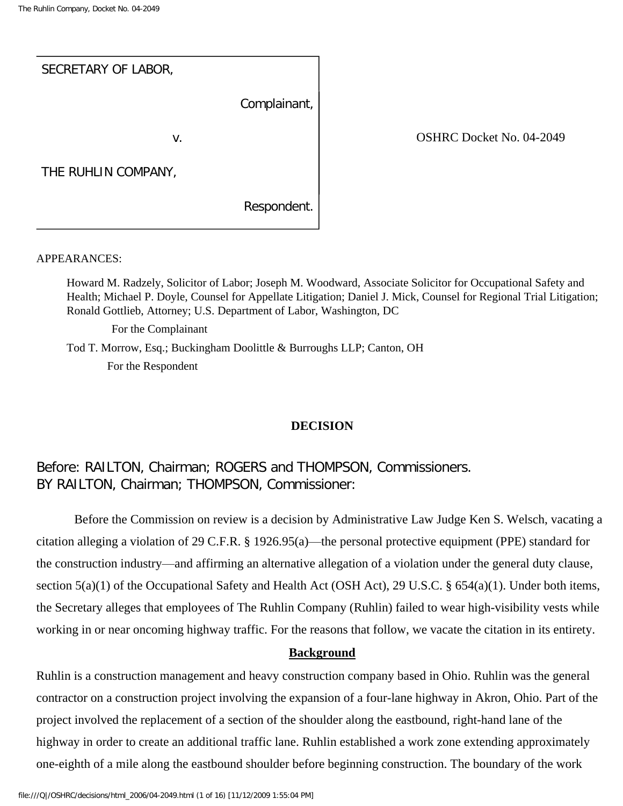| SECRETARY OF LABOR, |              |
|---------------------|--------------|
|                     | Complainant, |
| v.                  |              |
| THE RUHLIN COMPANY, |              |
|                     | Respondent.  |

OSHRC Docket No. 04-2049

#### APPEARANCES:

Howard M. Radzely, Solicitor of Labor; Joseph M. Woodward, Associate Solicitor for Occupational Safety and Health; Michael P. Doyle, Counsel for Appellate Litigation; Daniel J. Mick, Counsel for Regional Trial Litigation; Ronald Gottlieb, Attorney; U.S. Department of Labor, Washington, DC

For the Complainant

Tod T. Morrow, Esq.; Buckingham Doolittle & Burroughs LLP; Canton, OH For the Respondent

#### **DECISION**

# Before: RAILTON, Chairman; ROGERS and THOMPSON, Commissioners. BY RAILTON, Chairman; THOMPSON, Commissioner:

 Before the Commission on review is a decision by Administrative Law Judge Ken S. Welsch, vacating a citation alleging a violation of 29 C.F.R. § 1926.95(a)—the personal protective equipment (PPE) standard for the construction industry—and affirming an alternative allegation of a violation under the general duty clause, section 5(a)(1) of the Occupational Safety and Health Act (OSH Act), 29 U.S.C. § 654(a)(1). Under both items, the Secretary alleges that employees of The Ruhlin Company (Ruhlin) failed to wear high-visibility vests while working in or near oncoming highway traffic. For the reasons that follow, we vacate the citation in its entirety.

#### **Background**

Ruhlin is a construction management and heavy construction company based in Ohio. Ruhlin was the general contractor on a construction project involving the expansion of a four-lane highway in Akron, Ohio. Part of the project involved the replacement of a section of the shoulder along the eastbound, right-hand lane of the highway in order to create an additional traffic lane. Ruhlin established a work zone extending approximately one-eighth of a mile along the eastbound shoulder before beginning construction. The boundary of the work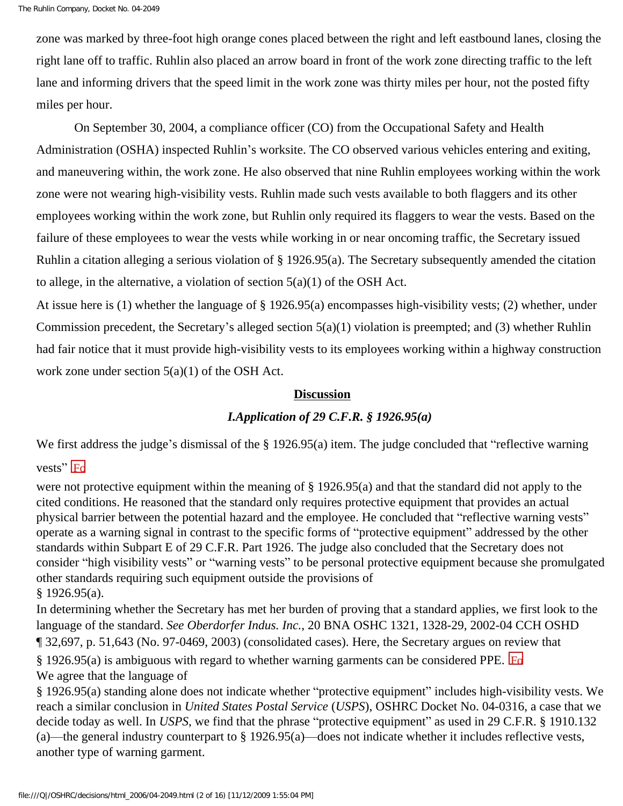zone was marked by three-foot high orange cones placed between the right and left eastbound lanes, closing the right lane off to traffic. Ruhlin also placed an arrow board in front of the work zone directing traffic to the left lane and informing drivers that the speed limit in the work zone was thirty miles per hour, not the posted fifty miles per hour.

 On September 30, 2004, a compliance officer (CO) from the Occupational Safety and Health Administration (OSHA) inspected Ruhlin's worksite. The CO observed various vehicles entering and exiting, and maneuvering within, the work zone. He also observed that nine Ruhlin employees working within the work zone were not wearing high-visibility vests. Ruhlin made such vests available to both flaggers and its other employees working within the work zone, but Ruhlin only required its flaggers to wear the vests. Based on the failure of these employees to wear the vests while working in or near oncoming traffic, the Secretary issued Ruhlin a citation alleging a serious violation of § 1926.95(a). The Secretary subsequently amended the citation to allege, in the alternative, a violation of section  $5(a)(1)$  of the OSH Act.

At issue here is (1) whether the language of § 1926.95(a) encompasses high-visibility vests; (2) whether, under Commission precedent, the Secretary's alleged section 5(a)(1) violation is preempted; and (3) whether Ruhlin had fair notice that it must provide high-visibility vests to its employees working within a highway construction work zone under section 5(a)(1) of the OSH Act.

## **Discussion**

# *I.Application of 29 C.F.R. § 1926.95(a)*

We first address the judge's dismissal of the § 1926.95(a) item. The judge concluded that "reflective warning

# vests" $F_0$

were not protective equipment within the meaning of § 1926.95(a) and that the standard did not apply to the cited conditions. He reasoned that the standard only requires protective equipment that provides an actual physical barrier between the potential hazard and the employee. He concluded that "reflective warning vests" operate as a warning signal in contrast to the specific forms of "protective equipment" addressed by the other standards within Subpart E of 29 C.F.R. Part 1926. The judge also concluded that the Secretary does not consider "high visibility vests" or "warning vests" to be personal protective equipment because she promulgated other standards requiring such equipment outside the provisions of § 1926.95(a).

In determining whether the Secretary has met her burden of proving that a standard applies, we first look to the language of the standard. *See Oberdorfer Indus. Inc.*, 20 BNA OSHC 1321, 1328-29, 2002-04 CCH OSHD ¶ 32,697, p. 51,643 (No. 97-0469, 2003) (consolidated cases). Here, the Secretary argues on review that § 1926.95(a) is ambiguous with regard to whether warning garments can be considered PPE.  $F_0$ 

We agree that the language of

§ 1926.95(a) standing alone does not indicate whether "protective equipment" includes high-visibility vests. We reach a similar conclusion in *United States Postal Service* (*USPS*), OSHRC Docket No. 04-0316, a case that we decide today as well. In *USPS*, we find that the phrase "protective equipment" as used in 29 C.F.R. § 1910.132 (a)—the general industry counterpart to § 1926.95(a)—does not indicate whether it includes reflective vests, another type of warning garment.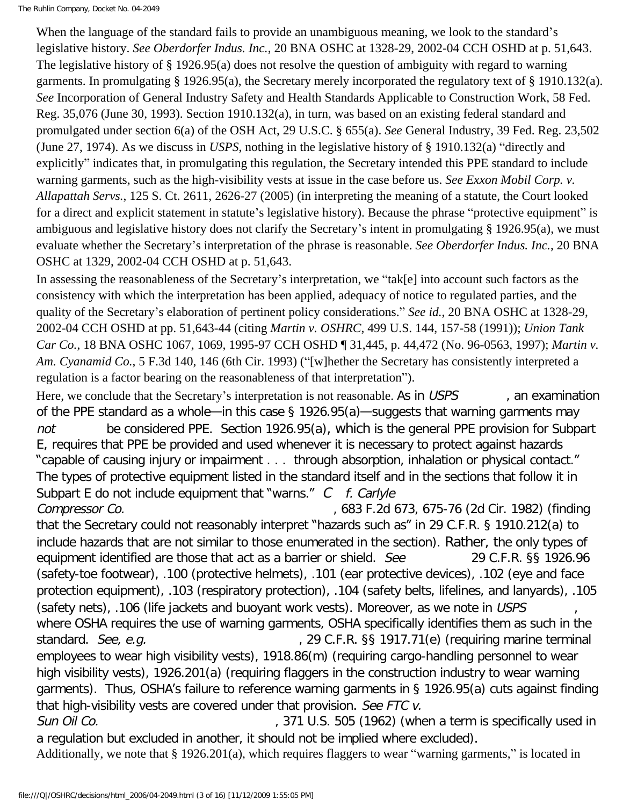The Ruhlin Company, Docket No. 04-2049

When the language of the standard fails to provide an unambiguous meaning, we look to the standard's legislative history. *See Oberdorfer Indus. Inc.*, 20 BNA OSHC at 1328-29, 2002-04 CCH OSHD at p. 51,643. The legislative history of § 1926.95(a) does not resolve the question of ambiguity with regard to warning garments. In promulgating § 1926.95(a), the Secretary merely incorporated the regulatory text of § 1910.132(a). *See* Incorporation of General Industry Safety and Health Standards Applicable to Construction Work, 58 Fed. Reg. 35,076 (June 30, 1993). Section 1910.132(a), in turn, was based on an existing federal standard and promulgated under section 6(a) of the OSH Act, 29 U.S.C. § 655(a). *See* General Industry, 39 Fed. Reg. 23,502 (June 27, 1974). As we discuss in *USPS*, nothing in the legislative history of § 1910.132(a) "directly and explicitly" indicates that, in promulgating this regulation, the Secretary intended this PPE standard to include warning garments, such as the high-visibility vests at issue in the case before us. *See Exxon Mobil Corp. v. Allapattah Servs.*, 125 S. Ct. 2611, 2626-27 (2005) (in interpreting the meaning of a statute, the Court looked for a direct and explicit statement in statute's legislative history). Because the phrase "protective equipment" is ambiguous and legislative history does not clarify the Secretary's intent in promulgating § 1926.95(a), we must evaluate whether the Secretary's interpretation of the phrase is reasonable. *See Oberdorfer Indus. Inc.*, 20 BNA OSHC at 1329, 2002-04 CCH OSHD at p. 51,643.

In assessing the reasonableness of the Secretary's interpretation, we "tak[e] into account such factors as the consistency with which the interpretation has been applied, adequacy of notice to regulated parties, and the quality of the Secretary's elaboration of pertinent policy considerations." *See id.*, 20 BNA OSHC at 1328-29, 2002-04 CCH OSHD at pp. 51,643-44 (citing *Martin v. OSHRC*, 499 U.S. 144, 157-58 (1991)); *Union Tank Car Co.*, 18 BNA OSHC 1067, 1069, 1995-97 CCH OSHD ¶ 31,445, p. 44,472 (No. 96-0563, 1997); *Martin v. Am. Cyanamid Co.*, 5 F.3d 140, 146 (6th Cir. 1993) ("[w]hether the Secretary has consistently interpreted a regulation is a factor bearing on the reasonableness of that interpretation").

Here, we conclude that the Secretary's interpretation is not reasonable. As in USPS and examination of the PPE standard as a whole—in this case § 1926.95(a)—suggests that warning garments may not be considered PPE. Section 1926.95(a), which is the general PPE provision for Subpart E, requires that PPE be provided and used whenever it is necessary to protect against hazards "capable of causing injury or impairment . . . through absorption, inhalation or physical contact." The types of protective equipment listed in the standard itself and in the sections that follow it in Subpart E do not include equipment that "warns."  $C$  f. Carlyle

Compressor Co. , 683 F.2d 673, 675-76 (2d Cir. 1982) (finding that the Secretary could not reasonably interpret "hazards such as" in 29 C.F.R. § 1910.212(a) to include hazards that are not similar to those enumerated in the section). Rather, the only types of equipment identified are those that act as a barrier or shield. See 29 C.F.R. §§ 1926.96 (safety-toe footwear), .100 (protective helmets), .101 (ear protective devices), .102 (eye and face protection equipment), .103 (respiratory protection), .104 (safety belts, lifelines, and lanyards), .105 (safety nets), .106 (life jackets and buoyant work vests). Moreover, as we note in USPS where OSHA requires the use of warning garments, OSHA specifically identifies them as such in the standard. See, e.g. (29 C.F.R. §§ 1917.71(e) (requiring marine terminal employees to wear high visibility vests), 1918.86(m) (requiring cargo-handling personnel to wear high visibility vests), 1926.201(a) (requiring flaggers in the construction industry to wear warning garments). Thus, OSHA's failure to reference warning garments in § 1926.95(a) cuts against finding that high-visibility vests are covered under that provision. See FTC v.

Sun Oil Co. Sun Oil Co. (371 U.S. 505 (1962) (when a term is specifically used in a regulation but excluded in another, it should not be implied where excluded).

Additionally, we note that § 1926.201(a), which requires flaggers to wear "warning garments," is located in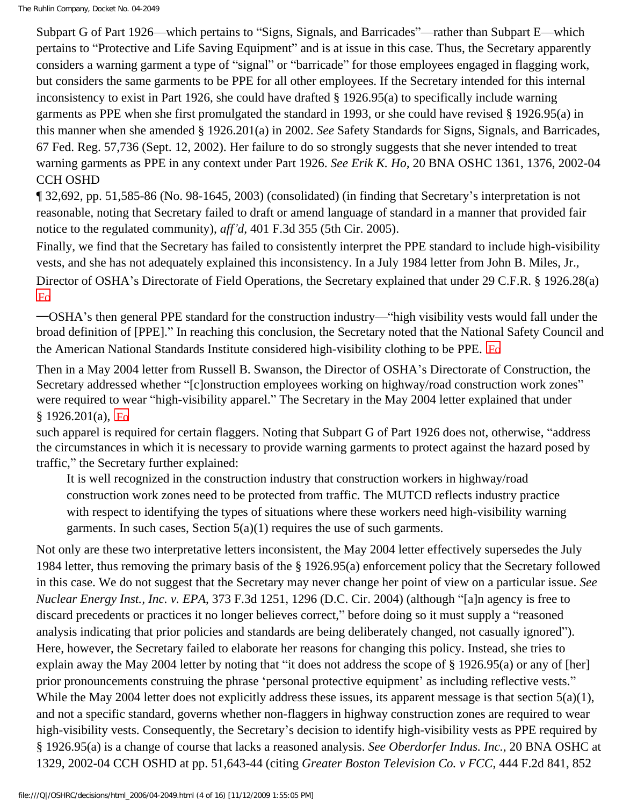Subpart G of Part 1926—which pertains to "Signs, Signals, and Barricades"—rather than Subpart E—which pertains to "Protective and Life Saving Equipment" and is at issue in this case. Thus, the Secretary apparently considers a warning garment a type of "signal" or "barricade" for those employees engaged in flagging work, but considers the same garments to be PPE for all other employees. If the Secretary intended for this internal inconsistency to exist in Part 1926, she could have drafted § 1926.95(a) to specifically include warning garments as PPE when she first promulgated the standard in 1993, or she could have revised § 1926.95(a) in this manner when she amended § 1926.201(a) in 2002. *See* Safety Standards for Signs, Signals, and Barricades, 67 Fed. Reg. 57,736 (Sept. 12, 2002). Her failure to do so strongly suggests that she never intended to treat warning garments as PPE in any context under Part 1926. *See Erik K. Ho,* 20 BNA OSHC 1361, 1376, 2002-04 CCH OSHD

¶ 32,692, pp. 51,585-86 (No. 98-1645, 2003) (consolidated) (in finding that Secretary's interpretation is not reasonable, noting that Secretary failed to draft or amend language of standard in a manner that provided fair notice to the regulated community), *aff'd*, 401 F.3d 355 (5th Cir. 2005).

Finally, we find that the Secretary has failed to consistently interpret the PPE standard to include high-visibility vests, and she has not adequately explained this inconsistency. In a July 1984 letter from John B. Miles, Jr., Director of OSHA's Directorate of Field Operations, the Secretary explained that under 29 C.F.R. § 1926.28(a)  $\overline{F_{0}}$ 

—OSHA's then general PPE standard for the construction industry—"high visibility vests would fall under the broad definition of [PPE]." In reaching this conclusion, the Secretary noted that the National Safety Council and the American National Standards Institute considered high-visibility clothing to be PPE. Fo

Then in a May 2004 letter from Russell B. Swanson, the Director of OSHA's Directorate of Construction, the Secretary addressed whether "[c]onstruction employees working on highway/road construction work zones" were required to wear "high-visibility apparel." The Secretary in the May 2004 letter explained that under  $§ 1926.201(a),$  Fo

such apparel is required for certain flaggers. Noting that Subpart G of Part 1926 does not, otherwise, "address the circumstances in which it is necessary to provide warning garments to protect against the hazard posed by traffic," the Secretary further explained:

It is well recognized in the construction industry that construction workers in highway/road construction work zones need to be protected from traffic. The MUTCD reflects industry practice with respect to identifying the types of situations where these workers need high-visibility warning garments. In such cases, Section  $5(a)(1)$  requires the use of such garments.

Not only are these two interpretative letters inconsistent, the May 2004 letter effectively supersedes the July 1984 letter, thus removing the primary basis of the § 1926.95(a) enforcement policy that the Secretary followed in this case. We do not suggest that the Secretary may never change her point of view on a particular issue. *See Nuclear Energy Inst., Inc. v. EPA*, 373 F.3d 1251, 1296 (D.C. Cir. 2004) (although "[a]n agency is free to discard precedents or practices it no longer believes correct," before doing so it must supply a "reasoned analysis indicating that prior policies and standards are being deliberately changed, not casually ignored"). Here, however, the Secretary failed to elaborate her reasons for changing this policy. Instead, she tries to explain away the May 2004 letter by noting that "it does not address the scope of § 1926.95(a) or any of [her] prior pronouncements construing the phrase 'personal protective equipment' as including reflective vests." While the May 2004 letter does not explicitly address these issues, its apparent message is that section 5(a)(1), and not a specific standard, governs whether non-flaggers in highway construction zones are required to wear high-visibility vests. Consequently, the Secretary's decision to identify high-visibility vests as PPE required by § 1926.95(a) is a change of course that lacks a reasoned analysis. *See Oberdorfer Indus. Inc.*, 20 BNA OSHC at 1329, 2002-04 CCH OSHD at pp. 51,643-44 (citing *Greater Boston Television Co. v FCC*, 444 F.2d 841, 852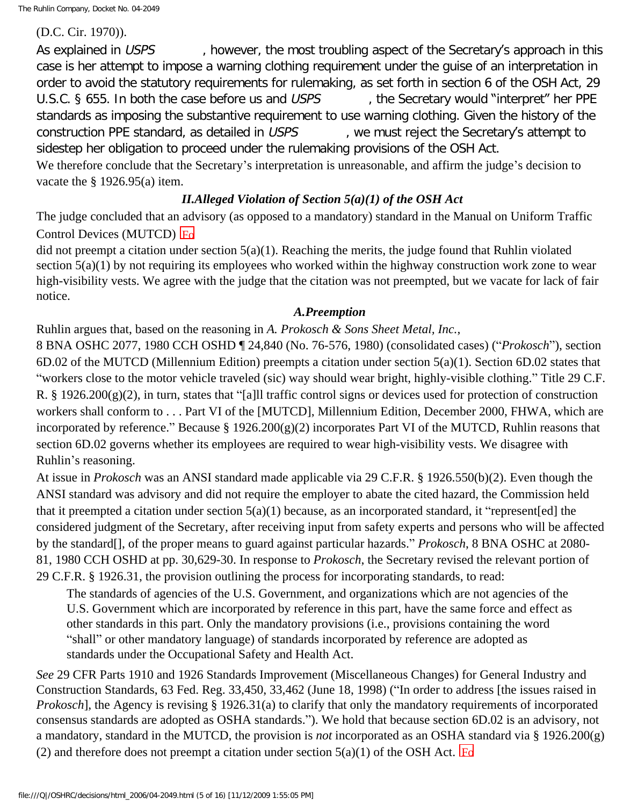The Ruhlin Company, Docket No. 04-2049

(D.C. Cir. 1970)).

As explained in USPS however, the most troubling aspect of the Secretary's approach in this case is her attempt to impose a warning clothing requirement under the guise of an interpretation in order to avoid the statutory requirements for rulemaking, as set forth in section 6 of the OSH Act, 29 U.S.C. § 655. In both the case before us and USPS the Secretary would "interpret" her PPE standards as imposing the substantive requirement to use warning clothing. Given the history of the construction PPE standard, as detailed in USPS and we must reject the Secretary's attempt to sidestep her obligation to proceed under the rulemaking provisions of the OSH Act. We therefore conclude that the Secretary's interpretation is unreasonable, and affirm the judge's decision to vacate the § 1926.95(a) item.

*II.Alleged Violation of Section 5(a)(1) of the OSH Act*

The judge concluded that an advisory (as opposed to a mandatory) standard in the Manual on Uniform Traffic Control Devices (MUTCD)  $Eq$ 

did not preempt a citation under section 5(a)(1). Reaching the merits, the judge found that Ruhlin violated section 5(a)(1) by not requiring its employees who worked within the highway construction work zone to wear high-visibility vests. We agree with the judge that the citation was not preempted, but we vacate for lack of fair notice.

# *A.Preemption*

Ruhlin argues that, based on the reasoning in *A. Prokosch & Sons Sheet Metal, Inc.*,

8 BNA OSHC 2077, 1980 CCH OSHD ¶ 24,840 (No. 76-576, 1980) (consolidated cases) ("*Prokosch*"), section 6D.02 of the MUTCD (Millennium Edition) preempts a citation under section 5(a)(1). Section 6D.02 states that "workers close to the motor vehicle traveled (sic) way should wear bright, highly-visible clothing." Title 29 C.F. R. § 1926.200(g)(2), in turn, states that "[a]ll traffic control signs or devices used for protection of construction workers shall conform to . . . Part VI of the [MUTCD], Millennium Edition, December 2000, FHWA, which are incorporated by reference." Because § 1926.200(g)(2) incorporates Part VI of the MUTCD, Ruhlin reasons that section 6D.02 governs whether its employees are required to wear high-visibility vests. We disagree with Ruhlin's reasoning.

At issue in *Prokosch* was an ANSI standard made applicable via 29 C.F.R. § 1926.550(b)(2). Even though the ANSI standard was advisory and did not require the employer to abate the cited hazard, the Commission held that it preempted a citation under section 5(a)(1) because, as an incorporated standard, it "represent[ed] the considered judgment of the Secretary, after receiving input from safety experts and persons who will be affected by the standard[], of the proper means to guard against particular hazards." *Prokosch*, 8 BNA OSHC at 2080- 81, 1980 CCH OSHD at pp. 30,629-30. In response to *Prokosch*, the Secretary revised the relevant portion of 29 C.F.R. § 1926.31, the provision outlining the process for incorporating standards, to read:

The standards of agencies of the U.S. Government, and organizations which are not agencies of the U.S. Government which are incorporated by reference in this part, have the same force and effect as other standards in this part. Only the mandatory provisions (i.e., provisions containing the word "shall" or other mandatory language) of standards incorporated by reference are adopted as standards under the Occupational Safety and Health Act.

*See* 29 CFR Parts 1910 and 1926 Standards Improvement (Miscellaneous Changes) for General Industry and Construction Standards, 63 Fed. Reg. 33,450, 33,462 (June 18, 1998) ("In order to address [the issues raised in *Prokosch*], the Agency is revising § 1926.31(a) to clarify that only the mandatory requirements of incorporated consensus standards are adopted as OSHA standards."). We hold that because section 6D.02 is an advisory, not a mandatory, standard in the MUTCD, the provision is *not* incorporated as an OSHA standard via § 1926.200(g) (2) and therefore does not preempt a citation under section  $5(a)(1)$  of the OSH Act.  $\text{Fd}$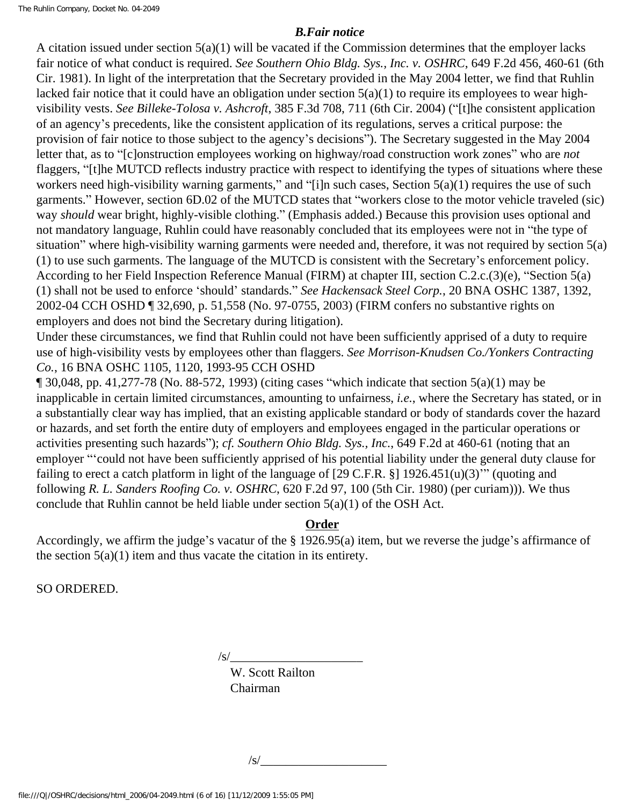The Ruhlin Company, Docket No. 04-2049

## *B.Fair notice*

A citation issued under section 5(a)(1) will be vacated if the Commission determines that the employer lacks fair notice of what conduct is required. *See Southern Ohio Bldg. Sys., Inc. v. OSHRC*, 649 F.2d 456, 460-61 (6th Cir. 1981). In light of the interpretation that the Secretary provided in the May 2004 letter, we find that Ruhlin lacked fair notice that it could have an obligation under section 5(a)(1) to require its employees to wear highvisibility vests. *See Billeke-Tolosa v. Ashcroft*, 385 F.3d 708, 711 (6th Cir. 2004) ("[t]he consistent application of an agency's precedents, like the consistent application of its regulations, serves a critical purpose: the provision of fair notice to those subject to the agency's decisions"). The Secretary suggested in the May 2004 letter that, as to "[c]onstruction employees working on highway/road construction work zones" who are *not*  flaggers, "[t]he MUTCD reflects industry practice with respect to identifying the types of situations where these workers need high-visibility warning garments," and "[i]n such cases, Section 5(a)(1) requires the use of such garments." However, section 6D.02 of the MUTCD states that "workers close to the motor vehicle traveled (sic) way *should* wear bright, highly-visible clothing." (Emphasis added.) Because this provision uses optional and not mandatory language, Ruhlin could have reasonably concluded that its employees were not in "the type of situation" where high-visibility warning garments were needed and, therefore, it was not required by section 5(a) (1) to use such garments. The language of the MUTCD is consistent with the Secretary's enforcement policy. According to her Field Inspection Reference Manual (FIRM) at chapter III, section C.2.c.(3)(e), "Section 5(a) (1) shall not be used to enforce 'should' standards." *See Hackensack Steel Corp.*, 20 BNA OSHC 1387, 1392, 2002-04 CCH OSHD ¶ 32,690, p. 51,558 (No. 97-0755, 2003) (FIRM confers no substantive rights on employers and does not bind the Secretary during litigation).

Under these circumstances, we find that Ruhlin could not have been sufficiently apprised of a duty to require use of high-visibility vests by employees other than flaggers. *See Morrison-Knudsen Co./Yonkers Contracting Co.*, 16 BNA OSHC 1105, 1120, 1993-95 CCH OSHD

 $\P$  30,048, pp. 41,277-78 (No. 88-572, 1993) (citing cases "which indicate that section 5(a)(1) may be inapplicable in certain limited circumstances, amounting to unfairness, *i.e.*, where the Secretary has stated, or in a substantially clear way has implied, that an existing applicable standard or body of standards cover the hazard or hazards, and set forth the entire duty of employers and employees engaged in the particular operations or activities presenting such hazards"); *cf. Southern Ohio Bldg. Sys., Inc.*, 649 F.2d at 460-61 (noting that an employer "'could not have been sufficiently apprised of his potential liability under the general duty clause for failing to erect a catch platform in light of the language of [29 C.F.R. §] 1926.451(u)(3)'" (quoting and following *R. L. Sanders Roofing Co. v. OSHRC*, 620 F.2d 97, 100 (5th Cir. 1980) (per curiam))). We thus conclude that Ruhlin cannot be held liable under section 5(a)(1) of the OSH Act.

# **Order**

Accordingly, we affirm the judge's vacatur of the § 1926.95(a) item, but we reverse the judge's affirmance of the section  $5(a)(1)$  item and thus vacate the citation in its entirety.

SO ORDERED.

 $\sqrt{s}$ /

W. Scott Railton Chairman

 $\sqrt{s}$ /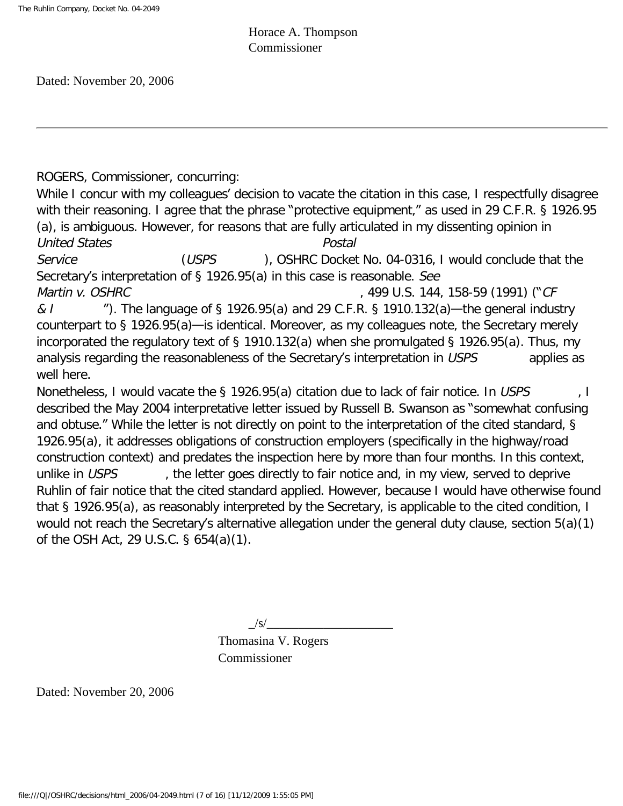Horace A. Thompson Commissioner

Dated: November 20, 2006

ROGERS, Commissioner, concurring:

While I concur with my colleagues' decision to vacate the citation in this case, I respectfully disagree with their reasoning. I agree that the phrase "protective equipment," as used in 29 C.F.R. § 1926.95 (a), is ambiguous. However, for reasons that are fully articulated in my dissenting opinion in United States Postal Service (USPS ), OSHRC Docket No. 04-0316, I would conclude that the

Secretary's interpretation of § 1926.95(a) in this case is reasonable. See Martin v. OSHRC 6. 2008 1998 10.5. 1499 U.S. 144, 158-59 (1991) ("CF

&  $\ell$   $\blacksquare$   $\blacksquare$ ). The language of § 1926.95(a) and 29 C.F.R. § 1910.132(a)—the general industry counterpart to § 1926.95(a)—is identical. Moreover, as my colleagues note, the Secretary merely incorporated the regulatory text of § 1910.132(a) when she promulgated § 1926.95(a). Thus, my analysis regarding the reasonableness of the Secretary's interpretation in USPS applies as well here.

Nonetheless, I would vacate the § 1926.95(a) citation due to lack of fair notice. In USPS  $\blacksquare$ , I described the May 2004 interpretative letter issued by Russell B. Swanson as "somewhat confusing and obtuse." While the letter is not directly on point to the interpretation of the cited standard, § 1926.95(a), it addresses obligations of construction employers (specifically in the highway/road construction context) and predates the inspection here by more than four months. In this context, unlike in USPS extert the letter goes directly to fair notice and, in my view, served to deprive Ruhlin of fair notice that the cited standard applied. However, because I would have otherwise found that § 1926.95(a), as reasonably interpreted by the Secretary, is applicable to the cited condition, I would not reach the Secretary's alternative allegation under the general duty clause, section 5(a)(1) of the OSH Act, 29 U.S.C. § 654(a)(1).

 $/S/$ 

Thomasina V. Rogers Commissioner

Dated: November 20, 2006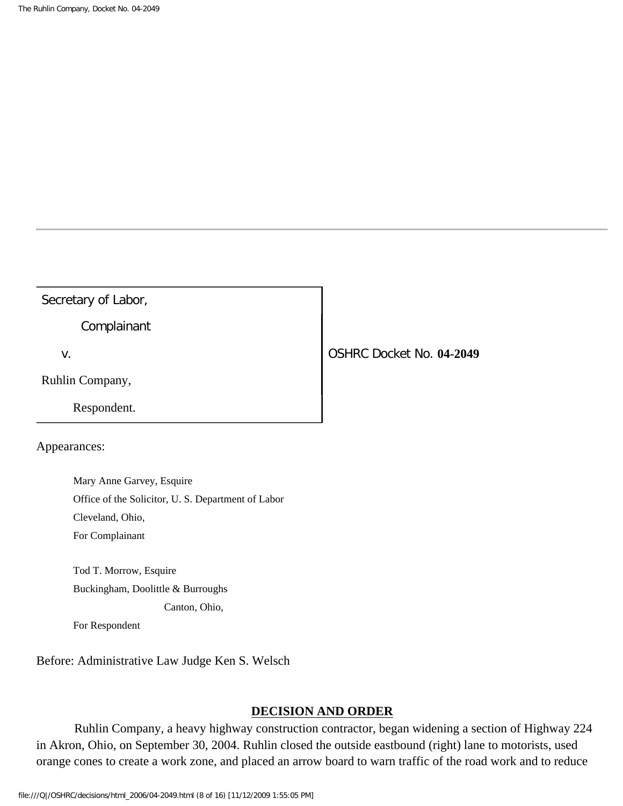## Secretary of Labor,

Complainant

Ruhlin Company,

Respondent.

## Appearances:

 Mary Anne Garvey, Esquire Office of the Solicitor, U. S. Department of Labor Cleveland, Ohio, For Complainant

 Tod T. Morrow, Esquire Buckingham, Doolittle & Burroughs Canton, Ohio,

For Respondent

Before: Administrative Law Judge Ken S. Welsch

#### **DECISION AND ORDER**

 Ruhlin Company, a heavy highway construction contractor, began widening a section of Highway 224 in Akron, Ohio, on September 30, 2004. Ruhlin closed the outside eastbound (right) lane to motorists, used orange cones to create a work zone, and placed an arrow board to warn traffic of the road work and to reduce

v. OSHRC Docket No. **04-2049**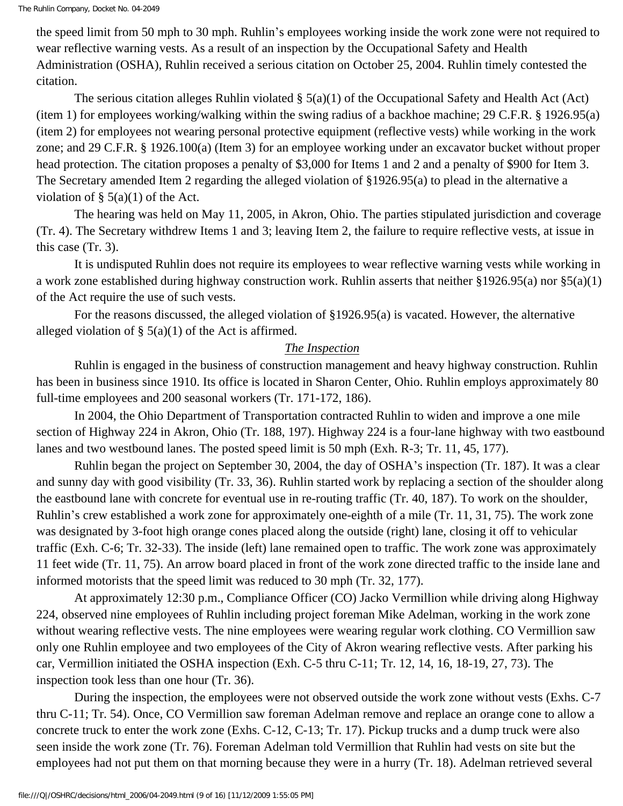the speed limit from 50 mph to 30 mph. Ruhlin's employees working inside the work zone were not required to wear reflective warning vests. As a result of an inspection by the Occupational Safety and Health Administration (OSHA), Ruhlin received a serious citation on October 25, 2004. Ruhlin timely contested the citation.

The serious citation alleges Ruhlin violated  $\S(5(a)(1))$  of the Occupational Safety and Health Act (Act) (item 1) for employees working/walking within the swing radius of a backhoe machine; 29 C.F.R. § 1926.95(a) (item 2) for employees not wearing personal protective equipment (reflective vests) while working in the work zone; and 29 C.F.R. § 1926.100(a) (Item 3) for an employee working under an excavator bucket without proper head protection. The citation proposes a penalty of \$3,000 for Items 1 and 2 and a penalty of \$900 for Item 3. The Secretary amended Item 2 regarding the alleged violation of §1926.95(a) to plead in the alternative a violation of  $\S$  5(a)(1) of the Act.

 The hearing was held on May 11, 2005, in Akron, Ohio. The parties stipulated jurisdiction and coverage (Tr. 4). The Secretary withdrew Items 1 and 3; leaving Item 2, the failure to require reflective vests, at issue in this case (Tr. 3).

 It is undisputed Ruhlin does not require its employees to wear reflective warning vests while working in a work zone established during highway construction work. Ruhlin asserts that neither §1926.95(a) nor §5(a)(1) of the Act require the use of such vests.

 For the reasons discussed, the alleged violation of §1926.95(a) is vacated. However, the alternative alleged violation of  $\S$  5(a)(1) of the Act is affirmed.

## *The Inspection*

 Ruhlin is engaged in the business of construction management and heavy highway construction. Ruhlin has been in business since 1910. Its office is located in Sharon Center, Ohio. Ruhlin employs approximately 80 full-time employees and 200 seasonal workers (Tr. 171-172, 186).

 In 2004, the Ohio Department of Transportation contracted Ruhlin to widen and improve a one mile section of Highway 224 in Akron, Ohio (Tr. 188, 197). Highway 224 is a four-lane highway with two eastbound lanes and two westbound lanes. The posted speed limit is 50 mph (Exh. R-3; Tr. 11, 45, 177).

 Ruhlin began the project on September 30, 2004, the day of OSHA's inspection (Tr. 187). It was a clear and sunny day with good visibility (Tr. 33, 36). Ruhlin started work by replacing a section of the shoulder along the eastbound lane with concrete for eventual use in re-routing traffic (Tr. 40, 187). To work on the shoulder, Ruhlin's crew established a work zone for approximately one-eighth of a mile (Tr. 11, 31, 75). The work zone was designated by 3-foot high orange cones placed along the outside (right) lane, closing it off to vehicular traffic (Exh. C-6; Tr. 32-33). The inside (left) lane remained open to traffic. The work zone was approximately 11 feet wide (Tr. 11, 75). An arrow board placed in front of the work zone directed traffic to the inside lane and informed motorists that the speed limit was reduced to 30 mph (Tr. 32, 177).

 At approximately 12:30 p.m., Compliance Officer (CO) Jacko Vermillion while driving along Highway 224, observed nine employees of Ruhlin including project foreman Mike Adelman, working in the work zone without wearing reflective vests. The nine employees were wearing regular work clothing. CO Vermillion saw only one Ruhlin employee and two employees of the City of Akron wearing reflective vests. After parking his car, Vermillion initiated the OSHA inspection (Exh. C-5 thru C-11; Tr. 12, 14, 16, 18-19, 27, 73). The inspection took less than one hour (Tr. 36).

 During the inspection, the employees were not observed outside the work zone without vests (Exhs. C-7 thru C-11; Tr. 54). Once, CO Vermillion saw foreman Adelman remove and replace an orange cone to allow a concrete truck to enter the work zone (Exhs. C-12, C-13; Tr. 17). Pickup trucks and a dump truck were also seen inside the work zone (Tr. 76). Foreman Adelman told Vermillion that Ruhlin had vests on site but the employees had not put them on that morning because they were in a hurry (Tr. 18). Adelman retrieved several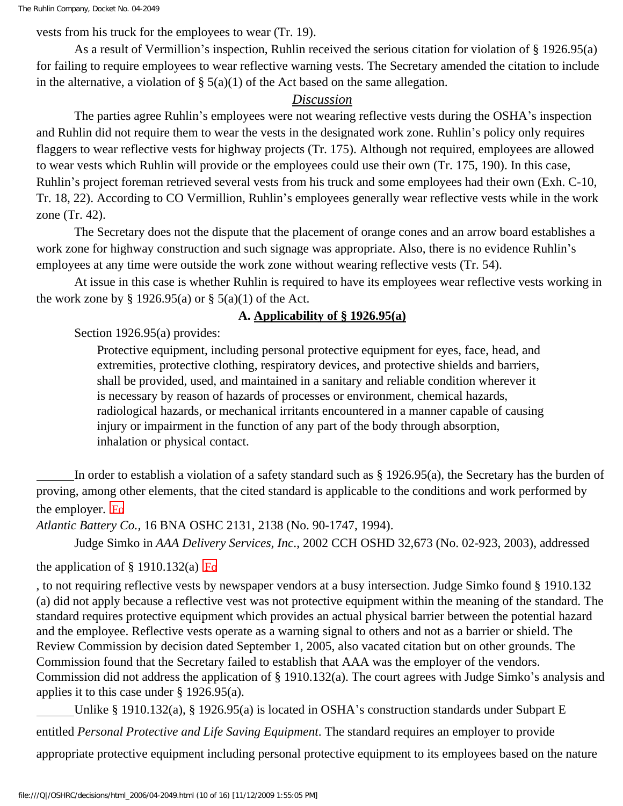vests from his truck for the employees to wear (Tr. 19).

 As a result of Vermillion's inspection, Ruhlin received the serious citation for violation of § 1926.95(a) for failing to require employees to wear reflective warning vests. The Secretary amended the citation to include in the alternative, a violation of  $\S$  5(a)(1) of the Act based on the same allegation.

### *Discussion*

 The parties agree Ruhlin's employees were not wearing reflective vests during the OSHA's inspection and Ruhlin did not require them to wear the vests in the designated work zone. Ruhlin's policy only requires flaggers to wear reflective vests for highway projects (Tr. 175). Although not required, employees are allowed to wear vests which Ruhlin will provide or the employees could use their own (Tr. 175, 190). In this case, Ruhlin's project foreman retrieved several vests from his truck and some employees had their own (Exh. C-10, Tr. 18, 22). According to CO Vermillion, Ruhlin's employees generally wear reflective vests while in the work zone (Tr. 42).

 The Secretary does not the dispute that the placement of orange cones and an arrow board establishes a work zone for highway construction and such signage was appropriate. Also, there is no evidence Ruhlin's employees at any time were outside the work zone without wearing reflective vests (Tr. 54).

 At issue in this case is whether Ruhlin is required to have its employees wear reflective vests working in the work zone by § 1926.95(a) or § 5(a)(1) of the Act.

#### **A. Applicability of § 1926.95(a)**

Section 1926.95(a) provides:

Protective equipment, including personal protective equipment for eyes, face, head, and extremities, protective clothing, respiratory devices, and protective shields and barriers, shall be provided, used, and maintained in a sanitary and reliable condition wherever it is necessary by reason of hazards of processes or environment, chemical hazards, radiological hazards, or mechanical irritants encountered in a manner capable of causing injury or impairment in the function of any part of the body through absorption, inhalation or physical contact.

 In order to establish a violation of a safety standard such as § 1926.95(a), the Secretary has the burden of proving, among other elements, that the cited standard is applicable to the conditions and work performed by the employer.  $F_0$ 

*Atlantic Battery Co.,* 16 BNA OSHC 2131, 2138 (No. 90-1747, 1994).

Judge Simko in *AAA Delivery Services, Inc*., 2002 CCH OSHD 32,673 (No. 02-923, 2003), addressed

# the application of  $\S$  1910.132(a) Fo

, to not requiring reflective vests by newspaper vendors at a busy intersection. Judge Simko found § 1910.132 (a) did not apply because a reflective vest was not protective equipment within the meaning of the standard. The standard requires protective equipment which provides an actual physical barrier between the potential hazard and the employee. Reflective vests operate as a warning signal to others and not as a barrier or shield. The Review Commission by decision dated September 1, 2005, also vacated citation but on other grounds. The Commission found that the Secretary failed to establish that AAA was the employer of the vendors. Commission did not address the application of § 1910.132(a). The court agrees with Judge Simko's analysis and applies it to this case under § 1926.95(a).

Unlike § 1910.132(a), § 1926.95(a) is located in OSHA's construction standards under Subpart E

entitled *Personal Protective and Life Saving Equipment*. The standard requires an employer to provide

appropriate protective equipment including personal protective equipment to its employees based on the nature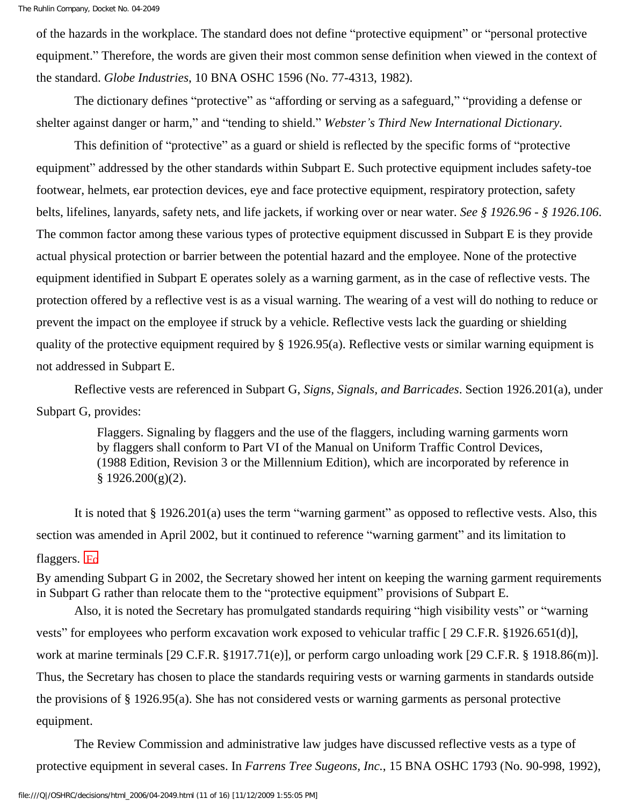of the hazards in the workplace. The standard does not define "protective equipment" or "personal protective equipment." Therefore, the words are given their most common sense definition when viewed in the context of the standard. *Globe Industries*, 10 BNA OSHC 1596 (No. 77-4313, 1982).

 The dictionary defines "protective" as "affording or serving as a safeguard," "providing a defense or shelter against danger or harm," and "tending to shield." *Webster's Third New International Dictionary.*

 This definition of "protective" as a guard or shield is reflected by the specific forms of "protective equipment" addressed by the other standards within Subpart E. Such protective equipment includes safety-toe footwear, helmets, ear protection devices, eye and face protective equipment, respiratory protection, safety belts, lifelines, lanyards, safety nets, and life jackets, if working over or near water. *See § 1926.96 - § 1926.106*. The common factor among these various types of protective equipment discussed in Subpart E is they provide actual physical protection or barrier between the potential hazard and the employee. None of the protective equipment identified in Subpart E operates solely as a warning garment, as in the case of reflective vests. The protection offered by a reflective vest is as a visual warning. The wearing of a vest will do nothing to reduce or prevent the impact on the employee if struck by a vehicle. Reflective vests lack the guarding or shielding quality of the protective equipment required by § 1926.95(a). Reflective vests or similar warning equipment is not addressed in Subpart E.

 Reflective vests are referenced in Subpart G, *Signs, Signals, and Barricades*. Section 1926.201(a), under Subpart G, provides:

> Flaggers. Signaling by flaggers and the use of the flaggers, including warning garments worn by flaggers shall conform to Part VI of the Manual on Uniform Traffic Control Devices, (1988 Edition, Revision 3 or the Millennium Edition), which are incorporated by reference in  $§$  1926.200(g)(2).

It is noted that § 1926.201(a) uses the term "warning garment" as opposed to reflective vests. Also, this section was amended in April 2002, but it continued to reference "warning garment" and its limitation to flaggers.  $F_0$ 

By amending Subpart G in 2002, the Secretary showed her intent on keeping the warning garment requirements in Subpart G rather than relocate them to the "protective equipment" provisions of Subpart E.

 Also, it is noted the Secretary has promulgated standards requiring "high visibility vests" or "warning vests" for employees who perform excavation work exposed to vehicular traffic [ 29 C.F.R. §1926.651(d)], work at marine terminals [29 C.F.R. §1917.71(e)], or perform cargo unloading work [29 C.F.R. § 1918.86(m)]. Thus, the Secretary has chosen to place the standards requiring vests or warning garments in standards outside the provisions of § 1926.95(a). She has not considered vests or warning garments as personal protective equipment.

 The Review Commission and administrative law judges have discussed reflective vests as a type of protective equipment in several cases. In *Farrens Tree Sugeons, Inc.*, 15 BNA OSHC 1793 (No. 90-998, 1992),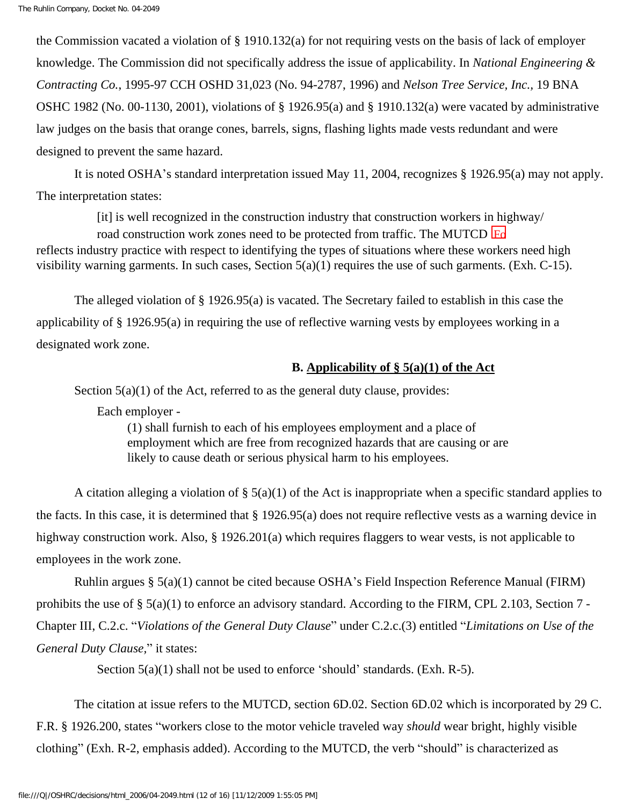the Commission vacated a violation of § 1910.132(a) for not requiring vests on the basis of lack of employer knowledge. The Commission did not specifically address the issue of applicability. In *National Engineering & Contracting Co.*, 1995-97 CCH OSHD 31,023 (No. 94-2787, 1996) and *Nelson Tree Service, Inc.,* 19 BNA OSHC 1982 (No. 00-1130, 2001), violations of § 1926.95(a) and § 1910.132(a) were vacated by administrative law judges on the basis that orange cones, barrels, signs, flashing lights made vests redundant and were designed to prevent the same hazard.

 It is noted OSHA's standard interpretation issued May 11, 2004, recognizes § 1926.95(a) may not apply. The interpretation states:

[it] is well recognized in the construction industry that construction workers in highway/

road construction work zones need to be protected from traffic. The MUTCD **F**o reflects industry practice with respect to identifying the types of situations where these workers need high visibility warning garments. In such cases, Section 5(a)(1) requires the use of such garments. (Exh. C-15).

 The alleged violation of § 1926.95(a) is vacated. The Secretary failed to establish in this case the applicability of § 1926.95(a) in requiring the use of reflective warning vests by employees working in a designated work zone.

## **B. Applicability of § 5(a)(1) of the Act**

Section  $5(a)(1)$  of the Act, referred to as the general duty clause, provides:

Each employer -

(1) shall furnish to each of his employees employment and a place of employment which are free from recognized hazards that are causing or are likely to cause death or serious physical harm to his employees.

A citation alleging a violation of  $\S$  5(a)(1) of the Act is inappropriate when a specific standard applies to the facts. In this case, it is determined that § 1926.95(a) does not require reflective vests as a warning device in highway construction work. Also, § 1926.201(a) which requires flaggers to wear vests, is not applicable to employees in the work zone.

 Ruhlin argues § 5(a)(1) cannot be cited because OSHA's Field Inspection Reference Manual (FIRM) prohibits the use of § 5(a)(1) to enforce an advisory standard. According to the FIRM, CPL 2.103, Section 7 - Chapter III, C.2.c. "*Violations of the General Duty Clause*" under C.2.c.(3) entitled "*Limitations on Use of the General Duty Clause,*" it states:

Section  $5(a)(1)$  shall not be used to enforce 'should' standards. (Exh. R-5).

 The citation at issue refers to the MUTCD, section 6D.02. Section 6D.02 which is incorporated by 29 C. F.R. § 1926.200, states "workers close to the motor vehicle traveled way *should* wear bright, highly visible clothing" (Exh. R-2, emphasis added). According to the MUTCD, the verb "should" is characterized as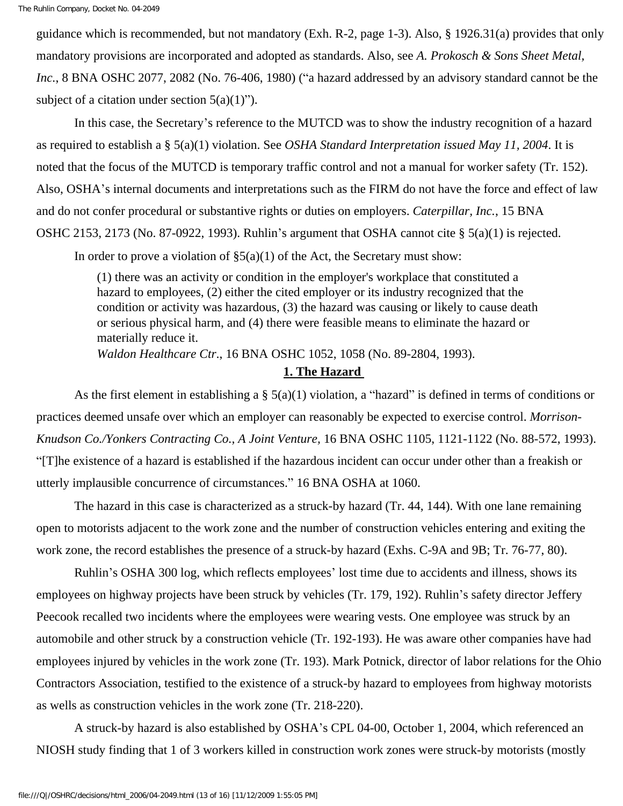guidance which is recommended, but not mandatory (Exh. R-2, page 1-3). Also, § 1926.31(a) provides that only mandatory provisions are incorporated and adopted as standards. Also, see *A. Prokosch & Sons Sheet Metal, Inc.*, 8 BNA OSHC 2077, 2082 (No. 76-406, 1980) ("a hazard addressed by an advisory standard cannot be the subject of a citation under section  $5(a)(1)$ ").

 In this case, the Secretary's reference to the MUTCD was to show the industry recognition of a hazard as required to establish a § 5(a)(1) violation. See *OSHA Standard Interpretation issued May 11, 2004*. It is noted that the focus of the MUTCD is temporary traffic control and not a manual for worker safety (Tr. 152). Also, OSHA's internal documents and interpretations such as the FIRM do not have the force and effect of law and do not confer procedural or substantive rights or duties on employers. *Caterpillar, Inc.*, 15 BNA OSHC 2153, 2173 (No. 87-0922, 1993). Ruhlin's argument that OSHA cannot cite § 5(a)(1) is rejected.

In order to prove a violation of  $\S5(a)(1)$  of the Act, the Secretary must show:

(1) there was an activity or condition in the employer's workplace that constituted a hazard to employees, (2) either the cited employer or its industry recognized that the condition or activity was hazardous, (3) the hazard was causing or likely to cause death or serious physical harm, and (4) there were feasible means to eliminate the hazard or materially reduce it.

*Waldon Healthcare Ctr*., 16 BNA OSHC 1052, 1058 (No. 89-2804, 1993).

## **1. The Hazard**

 As the first element in establishing a § 5(a)(1) violation, a "hazard" is defined in terms of conditions or practices deemed unsafe over which an employer can reasonably be expected to exercise control. *Morrison-Knudson Co./Yonkers Contracting Co., A Joint Venture,* 16 BNA OSHC 1105, 1121-1122 (No. 88-572, 1993). "[T]he existence of a hazard is established if the hazardous incident can occur under other than a freakish or utterly implausible concurrence of circumstances." 16 BNA OSHA at 1060.

 The hazard in this case is characterized as a struck-by hazard (Tr. 44, 144). With one lane remaining open to motorists adjacent to the work zone and the number of construction vehicles entering and exiting the work zone, the record establishes the presence of a struck-by hazard (Exhs. C-9A and 9B; Tr. 76-77, 80).

 Ruhlin's OSHA 300 log, which reflects employees' lost time due to accidents and illness, shows its employees on highway projects have been struck by vehicles (Tr. 179, 192). Ruhlin's safety director Jeffery Peecook recalled two incidents where the employees were wearing vests. One employee was struck by an automobile and other struck by a construction vehicle (Tr. 192-193). He was aware other companies have had employees injured by vehicles in the work zone (Tr. 193). Mark Potnick, director of labor relations for the Ohio Contractors Association, testified to the existence of a struck-by hazard to employees from highway motorists as wells as construction vehicles in the work zone (Tr. 218-220).

 A struck-by hazard is also established by OSHA's CPL 04-00, October 1, 2004, which referenced an NIOSH study finding that 1 of 3 workers killed in construction work zones were struck-by motorists (mostly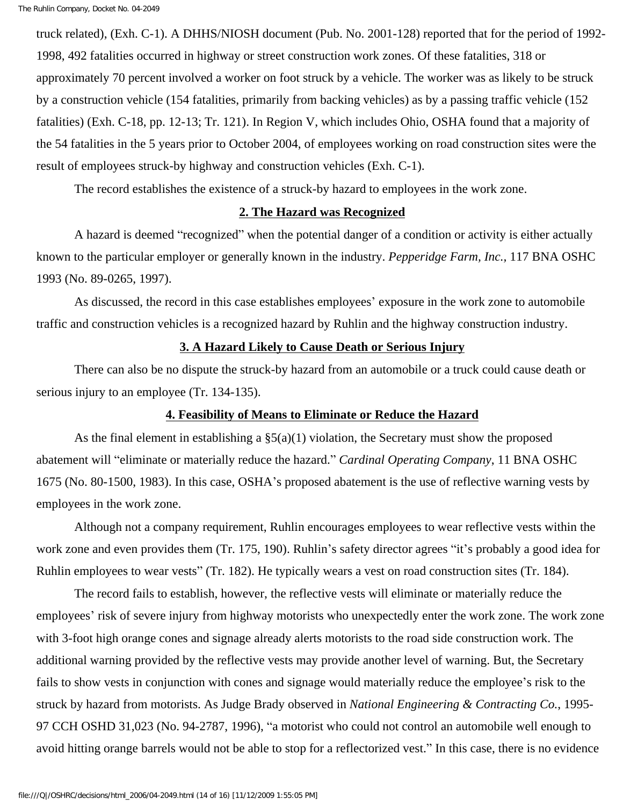truck related), (Exh. C-1). A DHHS/NIOSH document (Pub. No. 2001-128) reported that for the period of 1992- 1998, 492 fatalities occurred in highway or street construction work zones. Of these fatalities, 318 or approximately 70 percent involved a worker on foot struck by a vehicle. The worker was as likely to be struck by a construction vehicle (154 fatalities, primarily from backing vehicles) as by a passing traffic vehicle (152 fatalities) (Exh. C-18, pp. 12-13; Tr. 121). In Region V, which includes Ohio, OSHA found that a majority of the 54 fatalities in the 5 years prior to October 2004, of employees working on road construction sites were the result of employees struck-by highway and construction vehicles (Exh. C-1).

The record establishes the existence of a struck-by hazard to employees in the work zone.

#### **2. The Hazard was Recognized**

 A hazard is deemed "recognized" when the potential danger of a condition or activity is either actually known to the particular employer or generally known in the industry. *Pepperidge Farm, Inc.,* 117 BNA OSHC 1993 (No. 89-0265, 1997).

 As discussed, the record in this case establishes employees' exposure in the work zone to automobile traffic and construction vehicles is a recognized hazard by Ruhlin and the highway construction industry.

### **3. A Hazard Likely to Cause Death or Serious Injury**

 There can also be no dispute the struck-by hazard from an automobile or a truck could cause death or serious injury to an employee (Tr. 134-135).

#### **4. Feasibility of Means to Eliminate or Reduce the Hazard**

As the final element in establishing a  $\S(2a)(1)$  violation, the Secretary must show the proposed abatement will "eliminate or materially reduce the hazard." *Cardinal Operating Company*, 11 BNA OSHC 1675 (No. 80-1500, 1983). In this case, OSHA's proposed abatement is the use of reflective warning vests by employees in the work zone.

 Although not a company requirement, Ruhlin encourages employees to wear reflective vests within the work zone and even provides them (Tr. 175, 190). Ruhlin's safety director agrees "it's probably a good idea for Ruhlin employees to wear vests" (Tr. 182). He typically wears a vest on road construction sites (Tr. 184).

 The record fails to establish, however, the reflective vests will eliminate or materially reduce the employees' risk of severe injury from highway motorists who unexpectedly enter the work zone. The work zone with 3-foot high orange cones and signage already alerts motorists to the road side construction work. The additional warning provided by the reflective vests may provide another level of warning. But, the Secretary fails to show vests in conjunction with cones and signage would materially reduce the employee's risk to the struck by hazard from motorists. As Judge Brady observed in *National Engineering & Contracting Co.*, 1995- 97 CCH OSHD 31,023 (No. 94-2787, 1996), "a motorist who could not control an automobile well enough to avoid hitting orange barrels would not be able to stop for a reflectorized vest." In this case, there is no evidence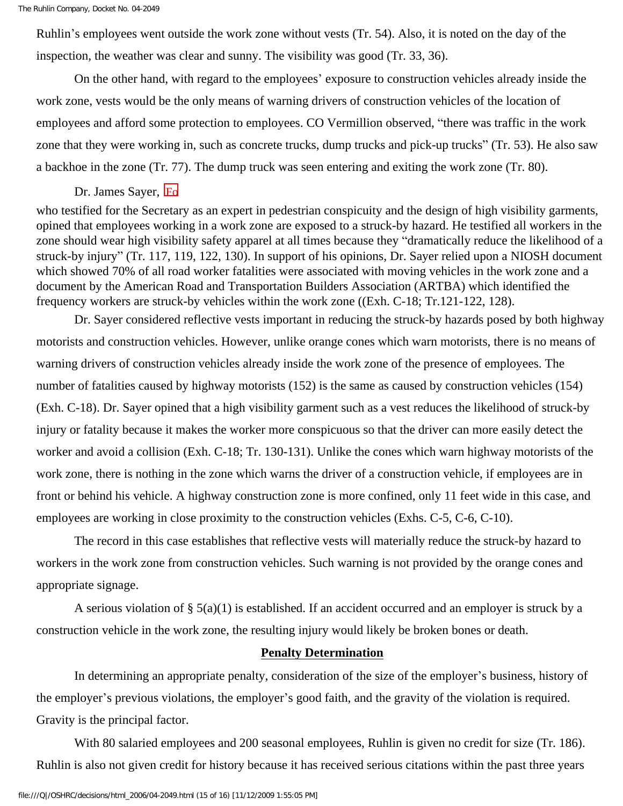Ruhlin's employees went outside the work zone without vests (Tr. 54). Also, it is noted on the day of the inspection, the weather was clear and sunny. The visibility was good (Tr. 33, 36).

 On the other hand, with regard to the employees' exposure to construction vehicles already inside the work zone, vests would be the only means of warning drivers of construction vehicles of the location of employees and afford some protection to employees. CO Vermillion observed, "there was traffic in the work zone that they were working in, such as concrete trucks, dump trucks and pick-up trucks" (Tr. 53). He also saw a backhoe in the zone (Tr. 77). The dump truck was seen entering and exiting the work zone (Tr. 80).

## Dr. James Sayer, Fo

who testified for the Secretary as an expert in pedestrian conspicuity and the design of high visibility garments, opined that employees working in a work zone are exposed to a struck-by hazard. He testified all workers in the zone should wear high visibility safety apparel at all times because they "dramatically reduce the likelihood of a struck-by injury" (Tr. 117, 119, 122, 130). In support of his opinions, Dr. Sayer relied upon a NIOSH document which showed 70% of all road worker fatalities were associated with moving vehicles in the work zone and a document by the American Road and Transportation Builders Association (ARTBA) which identified the frequency workers are struck-by vehicles within the work zone ((Exh. C-18; Tr.121-122, 128).

 Dr. Sayer considered reflective vests important in reducing the struck-by hazards posed by both highway motorists and construction vehicles. However, unlike orange cones which warn motorists, there is no means of warning drivers of construction vehicles already inside the work zone of the presence of employees. The number of fatalities caused by highway motorists (152) is the same as caused by construction vehicles (154) (Exh. C-18). Dr. Sayer opined that a high visibility garment such as a vest reduces the likelihood of struck-by injury or fatality because it makes the worker more conspicuous so that the driver can more easily detect the worker and avoid a collision (Exh. C-18; Tr. 130-131). Unlike the cones which warn highway motorists of the work zone, there is nothing in the zone which warns the driver of a construction vehicle, if employees are in front or behind his vehicle. A highway construction zone is more confined, only 11 feet wide in this case, and employees are working in close proximity to the construction vehicles (Exhs. C-5, C-6, C-10).

 The record in this case establishes that reflective vests will materially reduce the struck-by hazard to workers in the work zone from construction vehicles. Such warning is not provided by the orange cones and appropriate signage.

A serious violation of  $\S$  5(a)(1) is established. If an accident occurred and an employer is struck by a construction vehicle in the work zone, the resulting injury would likely be broken bones or death.

#### **Penalty Determination**

 In determining an appropriate penalty, consideration of the size of the employer's business, history of the employer's previous violations, the employer's good faith, and the gravity of the violation is required. Gravity is the principal factor.

With 80 salaried employees and 200 seasonal employees, Ruhlin is given no credit for size (Tr. 186). Ruhlin is also not given credit for history because it has received serious citations within the past three years